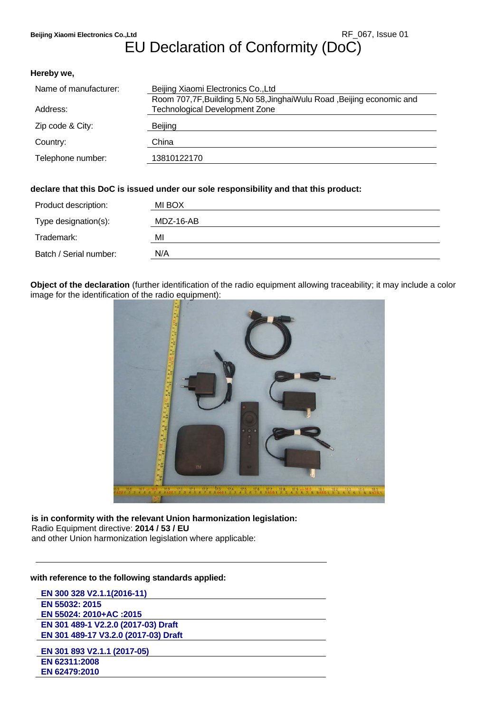# EU Declaration of Conformity (DoC)

#### **Hereby we,**

| Name of manufacturer: | Beijing Xiaomi Electronics Co., Ltd                                     |
|-----------------------|-------------------------------------------------------------------------|
|                       | Room 707,7F, Building 5, No 58, Jinghai Wulu Road, Beijing economic and |
| Address:              | <b>Technological Development Zone</b>                                   |
| Zip code & City:      | Beijing                                                                 |
| Country:              | China                                                                   |
| Telephone number:     | 13810122170                                                             |

## **declare that this DoC is issued under our sole responsibility and that this product:**

| Product description:   | MI BOX    |
|------------------------|-----------|
| Type designation(s):   | MDZ-16-AB |
| Trademark:             | ΜI        |
| Batch / Serial number: | N/A       |

**Object of the declaration** (further identification of the radio equipment allowing traceability; it may include a color image for the identification of the radio equipment):



**is in conformity with the relevant Union harmonization legislation:** Radio Equipment directive: **2014 / 53 / EU**  and other Union harmonization legislation where applicable:

## **with reference to the following standards applied:**

| EN 300 328 V2.1.1(2016-11)           |
|--------------------------------------|
| EN 55032: 2015                       |
| EN 55024: 2010+AC :2015              |
| EN 301 489-1 V2.2.0 (2017-03) Draft  |
| EN 301 489-17 V3.2.0 (2017-03) Draft |
| EN 301 893 V2.1.1 (2017-05)          |
| EN 62311:2008                        |
| EN 62479:2010                        |